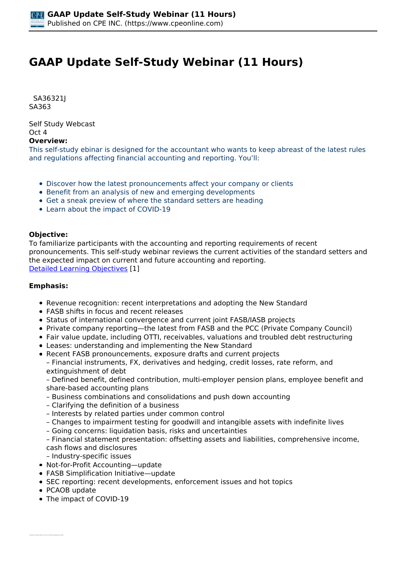# **GAAP Update Self-Study Webinar (11 Hours)**

 *SA36321J SA363* 

*Self Study Webcast Oct 4* 

**Overview:** 

*This self-study ebinar is designed for the accountant who wants to keep abreast of the latest rules and regulations affecting financial accounting and reporting. You'll:*

- *Discover how the latest pronouncements affect your company or clients*
- *Benefit from an analysis of new and emerging developments*
- *Get a sneak preview of where the standard setters are heading*
- *Learn about the impact of COVID-19*

#### **Objective:**

*To familiarize participants with the accounting and reporting requirements of recent pronouncements. This self-study webinar reviews the current activities of the standard setters and the expected impact on current and future accounting and reporting. [Detailed Learning Objectives](https://www.cpeonline.com/JavaScript:showObjectivesPopup();) [1]*

#### **Emphasis:**

- *Revenue recognition: recent interpretations and adopting the New Standard*
- *FASB shifts in focus and recent releases*
- *Status of international convergence and current joint FASB/IASB projects*
- *Private company reporting—the latest from FASB and the PCC (Private Company Council)*
- *Fair value update, including OTTI, receivables, valuations and troubled debt restructuring*
- *Leases: understanding and implementing the New Standard*
- *Recent FASB pronouncements, exposure drafts and current projects*
- *Financial instruments, FX, derivatives and hedging, credit losses, rate reform, and extinguishment of debt*

*– Defined benefit, defined contribution, multi-employer pension plans, employee benefit and share-based accounting plans*

- *Business combinations and consolidations and push down accounting*
- *Clarifying the definition of a business*
- *Interests by related parties under common control*
- *Changes to impairment testing for goodwill and intangible assets with indefinite lives*
- *Going concerns: liquidation basis, risks and uncertainties*

*– Financial statement presentation: offsetting assets and liabilities, comprehensive income, cash flows and disclosures*

*– Industry-specific issues*

- *Not-for-Profit Accounting—update*
- *FASB Simplification Initiative—update*
- *SEC reporting: recent developments, enforcement issues and hot topics*
- *PCAOB update*
- *The impact of COVID-19*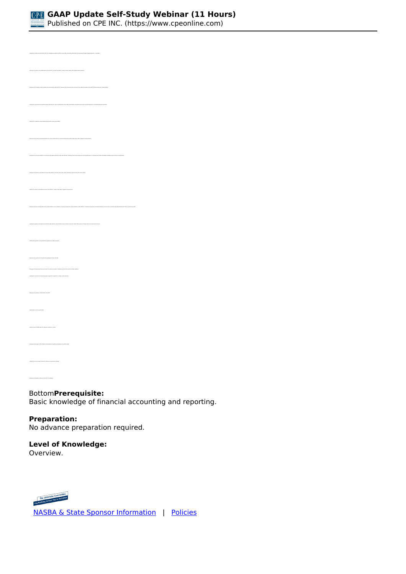

*• Identify the entities for which ASU 2021-03, Intangibles-Goodwill and Other (Topic 350), Accounting Alternative for Evaluating Goodwill Triggering Events , is available • Recognize the lessor issue addressed by ASU 2021-05, Leases (Topic 842), Lessors-Certain Leases with Variable Lease Payments • Recognize the change in effective dates announced within ASU 2020-05, Revenue from Contracts with Customers (Topic 606) and Leases (Topic 842): Effective Dates for Certain Entities • Identify the new disclosure mandates within ASU 2020-07, Not-for-Profit Entities (Topic 958): Presentation and Disclosures by Not-for-Profit Entities for Contributed Nonfinancial Assets • Recognize the financial instruments within the scope of ASU 2019-05, Financial Instruments-Credit Losses (Topic 326): Targeted Transition Relief • Recognize the primary amendments found in ASU 2019-12, Income Taxes (Topic 740): Simplifying the Accounting for Income Taxes • Identify the primary amendments found in ASU 2018-11, Leases (Topic 842): Targeted Improvements • Identify the primary amendments found within ASU 2016-13, Financial Instruments–Credit Losses (Topic 326): Measurement of Credit Losses on Financial Instruments • Identify SEC guidance and prohibitions regarding non-GAAP measures • Recognize the options for the practical expedients of Topic ASC 842 • Recognize the appropriate discount rates to be used by lessees in establishing their ROU assets and lease liabilities • Identify the current role of special purpose acquisition companies in today's capital markets • Identify recent PCAOB audit firm inspection deficiency trends • Recognize the relative interest of the SEC in the MD&A* 

*Bottom***Prerequisite:** 

*Basic knowledge of financial accounting and reporting.*

## **Preparation:**

*No advance preparation required.*

### **Level of Knowledge:**

*Overview.*